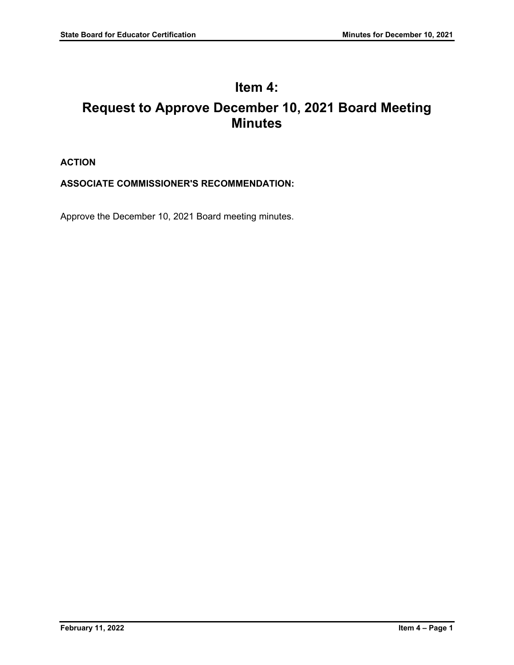# **Item 4: Request to Approve December 10, 2021 Board Meeting Minutes**

# **ACTION**

# **ASSOCIATE COMMISSIONER'S RECOMMENDATION:**

Approve the December 10, 2021 Board meeting minutes.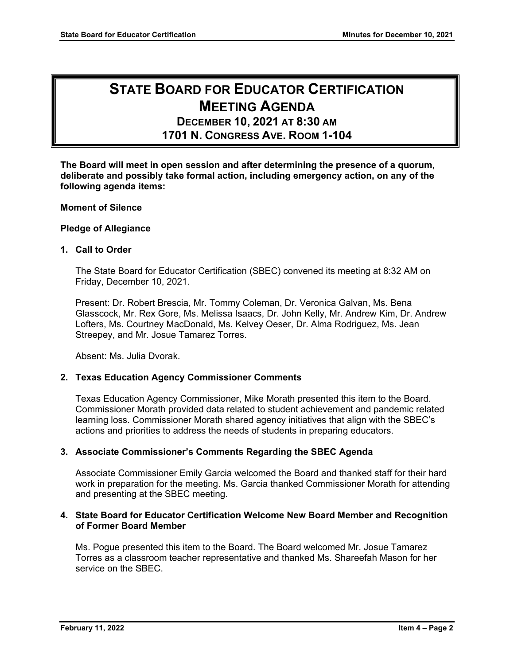# **STATE BOARD FOR EDUCATOR CERTIFICATION MEETING AGENDA**

# **DECEMBER 10, 2021 AT 8:30 AM 1701 N. CONGRESS AVE. ROOM 1-104**

**The Board will meet in open session and after determining the presence of a quorum, deliberate and possibly take formal action, including emergency action, on any of the following agenda items:**

# **Moment of Silence**

#### **Pledge of Allegiance**

#### **1. Call to Order**

The State Board for Educator Certification (SBEC) convened its meeting at 8:32 AM on Friday, December 10, 2021.

Present: Dr. Robert Brescia, Mr. Tommy Coleman, Dr. Veronica Galvan, Ms. Bena Glasscock, Mr. Rex Gore, Ms. Melissa Isaacs, Dr. John Kelly, Mr. Andrew Kim, Dr. Andrew Lofters, Ms. Courtney MacDonald, Ms. Kelvey Oeser, Dr. Alma Rodriguez, Ms. Jean Streepey, and Mr. Josue Tamarez Torres.

Absent: Ms. Julia Dvorak.

#### **2. Texas Education Agency Commissioner Comments**

Texas Education Agency Commissioner, Mike Morath presented this item to the Board. Commissioner Morath provided data related to student achievement and pandemic related learning loss. Commissioner Morath shared agency initiatives that align with the SBEC's actions and priorities to address the needs of students in preparing educators.

#### **3. Associate Commissioner's Comments Regarding the SBEC Agenda**

Associate Commissioner Emily Garcia welcomed the Board and thanked staff for their hard work in preparation for the meeting. Ms. Garcia thanked Commissioner Morath for attending and presenting at the SBEC meeting.

#### **4. State Board for Educator Certification Welcome New Board Member and Recognition of Former Board Member**

Ms. Pogue presented this item to the Board. The Board welcomed Mr. Josue Tamarez Torres as a classroom teacher representative and thanked Ms. Shareefah Mason for her service on the SBEC.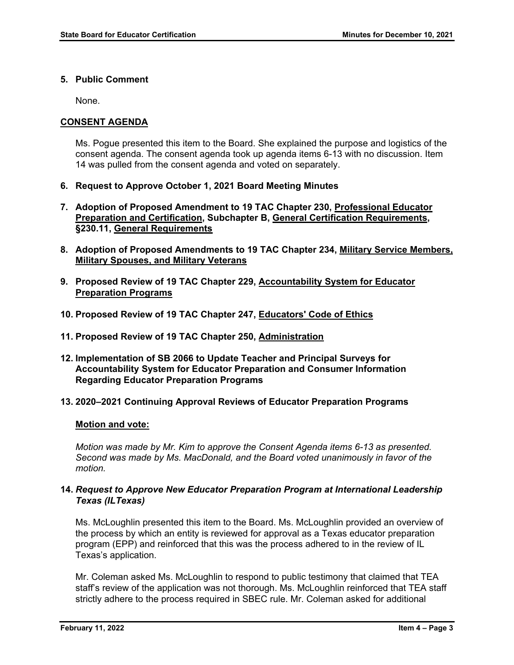# **5. Public Comment**

None.

# **CONSENT AGENDA**

Ms. Pogue presented this item to the Board. She explained the purpose and logistics of the consent agenda. The consent agenda took up agenda items 6-13 with no discussion. Item 14 was pulled from the consent agenda and voted on separately.

- **6. Request to Approve October 1, 2021 Board Meeting Minutes**
- **7. Adoption of Proposed Amendment to 19 TAC Chapter 230, Professional Educator Preparation and Certification, Subchapter B, General Certification Requirements, §230.11, General Requirements**
- **8. Adoption of Proposed Amendments to 19 TAC Chapter 234, Military Service Members, Military Spouses, and Military Veterans**
- **9. Proposed Review of 19 TAC Chapter 229, Accountability System for Educator Preparation Programs**
- **10. Proposed Review of 19 TAC Chapter 247, Educators' Code of Ethics**
- **11. Proposed Review of 19 TAC Chapter 250, Administration**
- **12. Implementation of SB 2066 to Update Teacher and Principal Surveys for Accountability System for Educator Preparation and Consumer Information Regarding Educator Preparation Programs**

#### **13. 2020–2021 Continuing Approval Reviews of Educator Preparation Programs**

#### **Motion and vote:**

*Motion was made by Mr. Kim to approve the Consent Agenda items 6-13 as presented. Second was made by Ms. MacDonald, and the Board voted unanimously in favor of the motion.*

# **14.** *Request to Approve New Educator Preparation Program at International Leadership Texas (ILTexas)*

Ms. McLoughlin presented this item to the Board. Ms. McLoughlin provided an overview of the process by which an entity is reviewed for approval as a Texas educator preparation program (EPP) and reinforced that this was the process adhered to in the review of IL Texas's application.

Mr. Coleman asked Ms. McLoughlin to respond to public testimony that claimed that TEA staff's review of the application was not thorough. Ms. McLoughlin reinforced that TEA staff strictly adhere to the process required in SBEC rule. Mr. Coleman asked for additional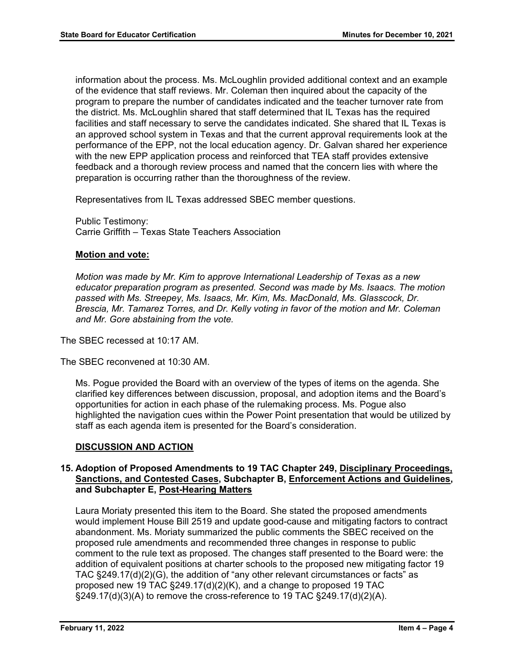information about the process. Ms. McLoughlin provided additional context and an example of the evidence that staff reviews. Mr. Coleman then inquired about the capacity of the program to prepare the number of candidates indicated and the teacher turnover rate from the district. Ms. McLoughlin shared that staff determined that IL Texas has the required facilities and staff necessary to serve the candidates indicated. She shared that IL Texas is an approved school system in Texas and that the current approval requirements look at the performance of the EPP, not the local education agency. Dr. Galvan shared her experience with the new EPP application process and reinforced that TEA staff provides extensive feedback and a thorough review process and named that the concern lies with where the preparation is occurring rather than the thoroughness of the review.

Representatives from IL Texas addressed SBEC member questions.

Public Testimony: Carrie Griffith – Texas State Teachers Association

#### **Motion and vote:**

*Motion was made by Mr. Kim to approve International Leadership of Texas as a new educator preparation program as presented. Second was made by Ms. Isaacs. The motion passed with Ms. Streepey, Ms. Isaacs, Mr. Kim, Ms. MacDonald, Ms. Glasscock, Dr. Brescia, Mr. Tamarez Torres, and Dr. Kelly voting in favor of the motion and Mr. Coleman and Mr. Gore abstaining from the vote.*

The SBEC recessed at 10:17 AM.

The SBEC reconvened at 10:30 AM.

Ms. Pogue provided the Board with an overview of the types of items on the agenda. She clarified key differences between discussion, proposal, and adoption items and the Board's opportunities for action in each phase of the rulemaking process. Ms. Pogue also highlighted the navigation cues within the Power Point presentation that would be utilized by staff as each agenda item is presented for the Board's consideration.

#### **DISCUSSION AND ACTION**

# **15. Adoption of Proposed Amendments to 19 TAC Chapter 249, Disciplinary Proceedings, Sanctions, and Contested Cases, Subchapter B, Enforcement Actions and Guidelines, and Subchapter E, Post-Hearing Matters**

Laura Moriaty presented this item to the Board. She stated the proposed amendments would implement House Bill 2519 and update good-cause and mitigating factors to contract abandonment. Ms. Moriaty summarized the public comments the SBEC received on the proposed rule amendments and recommended three changes in response to public comment to the rule text as proposed. The changes staff presented to the Board were: the addition of equivalent positions at charter schools to the proposed new mitigating factor 19 TAC §249.17(d)(2)(G), the addition of "any other relevant circumstances or facts" as proposed new 19 TAC §249.17(d)(2)(K), and a change to proposed 19 TAC §249.17(d)(3)(A) to remove the cross-reference to 19 TAC §249.17(d)(2)(A).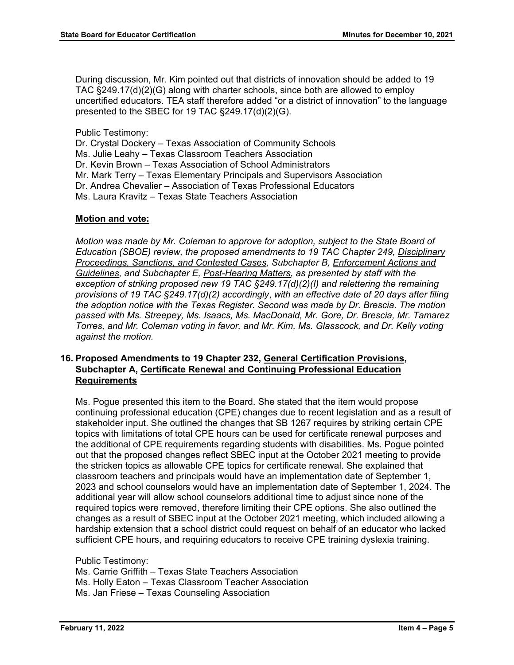During discussion, Mr. Kim pointed out that districts of innovation should be added to 19 TAC §249.17(d)(2)(G) along with charter schools, since both are allowed to employ uncertified educators. TEA staff therefore added "or a district of innovation" to the language presented to the SBEC for 19 TAC §249.17(d)(2)(G).

Public Testimony:

Dr. Crystal Dockery – Texas Association of Community Schools

Ms. Julie Leahy – Texas Classroom Teachers Association

Dr. Kevin Brown – Texas Association of School Administrators

Mr. Mark Terry – Texas Elementary Principals and Supervisors Association

Dr. Andrea Chevalier – Association of Texas Professional Educators

Ms. Laura Kravitz – Texas State Teachers Association

#### **Motion and vote:**

*Motion was made by Mr. Coleman to approve for adoption, subject to the State Board of Education (SBOE) review, the proposed amendments to 19 TAC Chapter 249, Disciplinary Proceedings, Sanctions, and Contested Cases, Subchapter B, Enforcement Actions and Guidelines, and Subchapter E, Post-Hearing Matters, as presented by staff with the exception of striking proposed new 19 TAC §249.17(d)(2)(I) and relettering the remaining provisions of 19 TAC §249.17(d)(2) accordingly*, *with an effective date of 20 days after filing the adoption notice with the Texas Register. Second was made by Dr. Brescia. The motion passed with Ms. Streepey, Ms. Isaacs, Ms. MacDonald, Mr. Gore, Dr. Brescia, Mr. Tamarez Torres, and Mr. Coleman voting in favor, and Mr. Kim, Ms. Glasscock, and Dr. Kelly voting against the motion.*

# **16. Proposed Amendments to 19 Chapter 232, General Certification Provisions, Subchapter A, Certificate Renewal and Continuing Professional Education Requirements**

Ms. Pogue presented this item to the Board. She stated that the item would propose continuing professional education (CPE) changes due to recent legislation and as a result of stakeholder input. She outlined the changes that SB 1267 requires by striking certain CPE topics with limitations of total CPE hours can be used for certificate renewal purposes and the additional of CPE requirements regarding students with disabilities. Ms. Pogue pointed out that the proposed changes reflect SBEC input at the October 2021 meeting to provide the stricken topics as allowable CPE topics for certificate renewal. She explained that classroom teachers and principals would have an implementation date of September 1, 2023 and school counselors would have an implementation date of September 1, 2024. The additional year will allow school counselors additional time to adjust since none of the required topics were removed, therefore limiting their CPE options. She also outlined the changes as a result of SBEC input at the October 2021 meeting, which included allowing a hardship extension that a school district could request on behalf of an educator who lacked sufficient CPE hours, and requiring educators to receive CPE training dyslexia training.

Public Testimony:

Ms. Carrie Griffith – Texas State Teachers Association Ms. Holly Eaton – Texas Classroom Teacher Association Ms. Jan Friese – Texas Counseling Association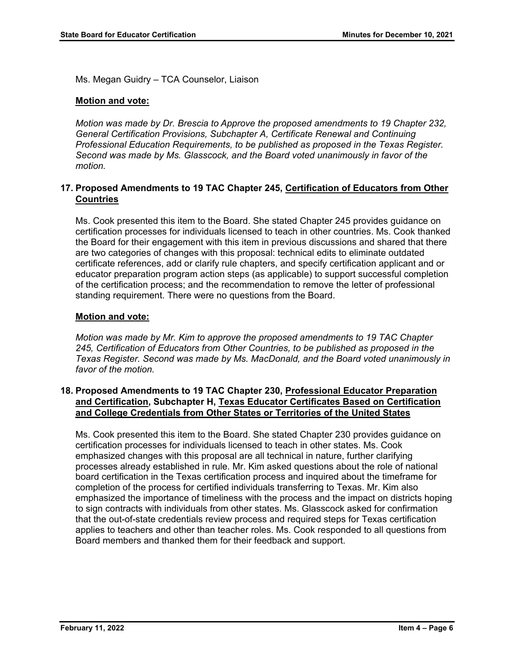Ms. Megan Guidry – TCA Counselor, Liaison

# **Motion and vote:**

*Motion was made by Dr. Brescia to Approve the proposed amendments to 19 Chapter 232, General Certification Provisions, Subchapter A, Certificate Renewal and Continuing Professional Education Requirements, to be published as proposed in the Texas Register. Second was made by Ms. Glasscock, and the Board voted unanimously in favor of the motion.*

# **17. Proposed Amendments to 19 TAC Chapter 245, Certification of Educators from Other Countries**

Ms. Cook presented this item to the Board. She stated Chapter 245 provides guidance on certification processes for individuals licensed to teach in other countries. Ms. Cook thanked the Board for their engagement with this item in previous discussions and shared that there are two categories of changes with this proposal: technical edits to eliminate outdated certificate references, add or clarify rule chapters, and specify certification applicant and or educator preparation program action steps (as applicable) to support successful completion of the certification process; and the recommendation to remove the letter of professional standing requirement. There were no questions from the Board.

# **Motion and vote:**

*Motion was made by Mr. Kim to approve the proposed amendments to 19 TAC Chapter 245, Certification of Educators from Other Countries, to be published as proposed in the Texas Register. Second was made by Ms. MacDonald, and the Board voted unanimously in favor of the motion.*

# **18. Proposed Amendments to 19 TAC Chapter 230, Professional Educator Preparation and Certification, Subchapter H, Texas Educator Certificates Based on Certification and College Credentials from Other States or Territories of the United States**

Ms. Cook presented this item to the Board. She stated Chapter 230 provides guidance on certification processes for individuals licensed to teach in other states. Ms. Cook emphasized changes with this proposal are all technical in nature, further clarifying processes already established in rule. Mr. Kim asked questions about the role of national board certification in the Texas certification process and inquired about the timeframe for completion of the process for certified individuals transferring to Texas. Mr. Kim also emphasized the importance of timeliness with the process and the impact on districts hoping to sign contracts with individuals from other states. Ms. Glasscock asked for confirmation that the out-of-state credentials review process and required steps for Texas certification applies to teachers and other than teacher roles. Ms. Cook responded to all questions from Board members and thanked them for their feedback and support.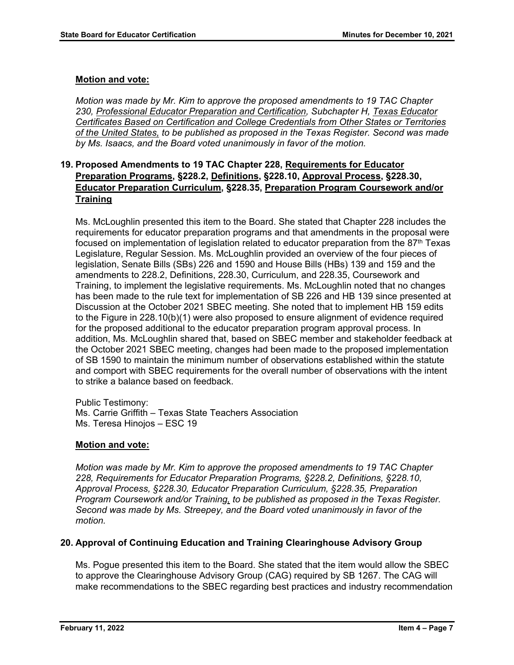# **Motion and vote:**

*Motion was made by Mr. Kim to approve the proposed amendments to 19 TAC Chapter 230, Professional Educator Preparation and Certification, Subchapter H, Texas Educator Certificates Based on Certification and College Credentials from Other States or Territories of the United States, to be published as proposed in the Texas Register. Second was made by Ms. Isaacs, and the Board voted unanimously in favor of the motion.*

# **19. Proposed Amendments to 19 TAC Chapter 228, Requirements for Educator Preparation Programs, §228.2, Definitions, §228.10, Approval Process, §228.30, Educator Preparation Curriculum, §228.35, Preparation Program Coursework and/or Training**

Ms. McLoughlin presented this item to the Board. She stated that Chapter 228 includes the requirements for educator preparation programs and that amendments in the proposal were focused on implementation of legislation related to educator preparation from the 87<sup>th</sup> Texas Legislature, Regular Session. Ms. McLoughlin provided an overview of the four pieces of legislation, Senate Bills (SBs) 226 and 1590 and House Bills (HBs) 139 and 159 and the amendments to 228.2, Definitions, 228.30, Curriculum, and 228.35, Coursework and Training, to implement the legislative requirements. Ms. McLoughlin noted that no changes has been made to the rule text for implementation of SB 226 and HB 139 since presented at Discussion at the October 2021 SBEC meeting. She noted that to implement HB 159 edits to the Figure in 228.10(b)(1) were also proposed to ensure alignment of evidence required for the proposed additional to the educator preparation program approval process. In addition, Ms. McLoughlin shared that, based on SBEC member and stakeholder feedback at the October 2021 SBEC meeting, changes had been made to the proposed implementation of SB 1590 to maintain the minimum number of observations established within the statute and comport with SBEC requirements for the overall number of observations with the intent to strike a balance based on feedback.

Public Testimony: Ms. Carrie Griffith – Texas State Teachers Association Ms. Teresa Hinojos – ESC 19

#### **Motion and vote:**

*Motion was made by Mr. Kim to approve the proposed amendments to 19 TAC Chapter 228, Requirements for Educator Preparation Programs, §228.2, Definitions, §228.10, Approval Process, §228.30, Educator Preparation Curriculum, §228.35, Preparation Program Coursework and/or Training, to be published as proposed in the Texas Register. Second was made by Ms. Streepey, and the Board voted unanimously in favor of the motion.*

#### **20. Approval of Continuing Education and Training Clearinghouse Advisory Group**

Ms. Pogue presented this item to the Board. She stated that the item would allow the SBEC to approve the Clearinghouse Advisory Group (CAG) required by SB 1267. The CAG will make recommendations to the SBEC regarding best practices and industry recommendation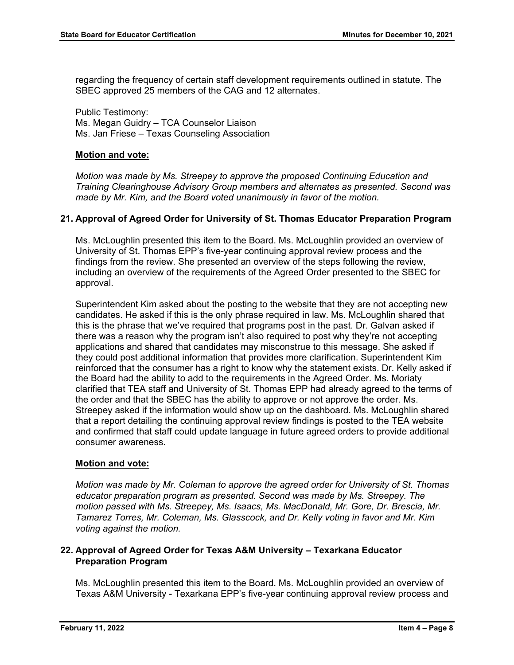regarding the frequency of certain staff development requirements outlined in statute. The SBEC approved 25 members of the CAG and 12 alternates.

Public Testimony: Ms. Megan Guidry – TCA Counselor Liaison Ms. Jan Friese – Texas Counseling Association

#### **Motion and vote:**

*Motion was made by Ms. Streepey to approve the proposed Continuing Education and Training Clearinghouse Advisory Group members and alternates as presented. Second was made by Mr. Kim, and the Board voted unanimously in favor of the motion.*

# **21. Approval of Agreed Order for University of St. Thomas Educator Preparation Program**

Ms. McLoughlin presented this item to the Board. Ms. McLoughlin provided an overview of University of St. Thomas EPP's five-year continuing approval review process and the findings from the review. She presented an overview of the steps following the review, including an overview of the requirements of the Agreed Order presented to the SBEC for approval.

Superintendent Kim asked about the posting to the website that they are not accepting new candidates. He asked if this is the only phrase required in law. Ms. McLoughlin shared that this is the phrase that we've required that programs post in the past. Dr. Galvan asked if there was a reason why the program isn't also required to post why they're not accepting applications and shared that candidates may misconstrue to this message. She asked if they could post additional information that provides more clarification. Superintendent Kim reinforced that the consumer has a right to know why the statement exists. Dr. Kelly asked if the Board had the ability to add to the requirements in the Agreed Order. Ms. Moriaty clarified that TEA staff and University of St. Thomas EPP had already agreed to the terms of the order and that the SBEC has the ability to approve or not approve the order. Ms. Streepey asked if the information would show up on the dashboard. Ms. McLoughlin shared that a report detailing the continuing approval review findings is posted to the TEA website and confirmed that staff could update language in future agreed orders to provide additional consumer awareness.

#### **Motion and vote:**

*Motion was made by Mr. Coleman to approve the agreed order for University of St. Thomas educator preparation program as presented. Second was made by Ms. Streepey. The motion passed with Ms. Streepey, Ms. Isaacs, Ms. MacDonald, Mr. Gore, Dr. Brescia, Mr. Tamarez Torres, Mr. Coleman, Ms. Glasscock, and Dr. Kelly voting in favor and Mr. Kim voting against the motion.*

# **22. Approval of Agreed Order for Texas A&M University – Texarkana Educator Preparation Program**

Ms. McLoughlin presented this item to the Board. Ms. McLoughlin provided an overview of Texas A&M University - Texarkana EPP's five-year continuing approval review process and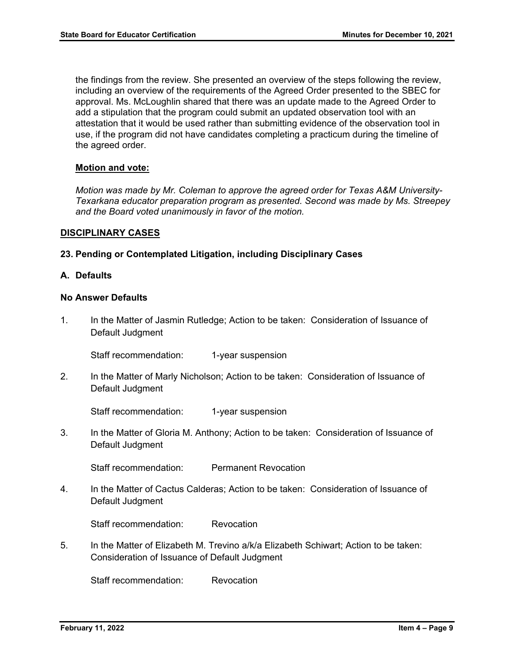the findings from the review. She presented an overview of the steps following the review, including an overview of the requirements of the Agreed Order presented to the SBEC for approval. Ms. McLoughlin shared that there was an update made to the Agreed Order to add a stipulation that the program could submit an updated observation tool with an attestation that it would be used rather than submitting evidence of the observation tool in use, if the program did not have candidates completing a practicum during the timeline of the agreed order.

#### **Motion and vote:**

*Motion was made by Mr. Coleman to approve the agreed order for Texas A&M University-Texarkana educator preparation program as presented. Second was made by Ms. Streepey and the Board voted unanimously in favor of the motion.*

#### **DISCIPLINARY CASES**

# **23. Pending or Contemplated Litigation, including Disciplinary Cases**

#### **A. Defaults**

#### **No Answer Defaults**

1. In the Matter of Jasmin Rutledge; Action to be taken: Consideration of Issuance of Default Judgment

Staff recommendation: 1-year suspension

2. In the Matter of Marly Nicholson; Action to be taken: Consideration of Issuance of Default Judgment

Staff recommendation: 1-year suspension

3. In the Matter of Gloria M. Anthony; Action to be taken: Consideration of Issuance of Default Judgment

Staff recommendation: Permanent Revocation

4. In the Matter of Cactus Calderas; Action to be taken: Consideration of Issuance of Default Judgment

Staff recommendation: Revocation

5. In the Matter of Elizabeth M. Trevino a/k/a Elizabeth Schiwart; Action to be taken: Consideration of Issuance of Default Judgment

Staff recommendation: Revocation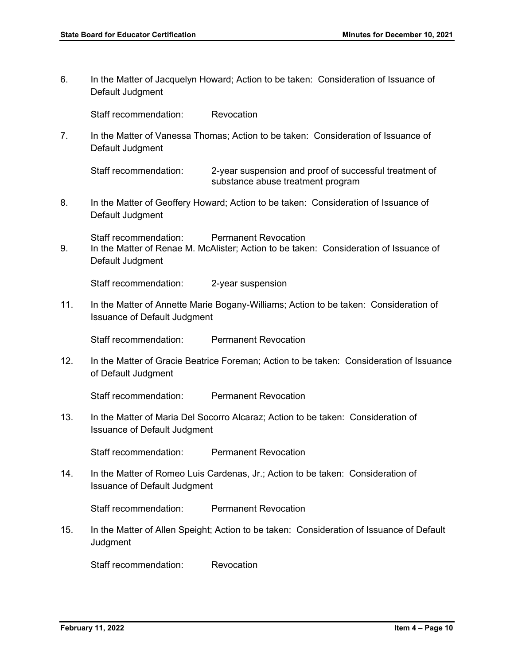6. In the Matter of Jacquelyn Howard; Action to be taken: Consideration of Issuance of Default Judgment

Staff recommendation: Revocation

7. In the Matter of Vanessa Thomas; Action to be taken: Consideration of Issuance of Default Judgment

Staff recommendation: 2-year suspension and proof of successful treatment of substance abuse treatment program

8. In the Matter of Geoffery Howard; Action to be taken: Consideration of Issuance of Default Judgment

Staff recommendation: Permanent Revocation

9. In the Matter of Renae M. McAlister; Action to be taken: Consideration of Issuance of Default Judgment

Staff recommendation: 2-year suspension

11. In the Matter of Annette Marie Bogany-Williams; Action to be taken: Consideration of Issuance of Default Judgment

Staff recommendation: Permanent Revocation

12. In the Matter of Gracie Beatrice Foreman; Action to be taken: Consideration of Issuance of Default Judgment

Staff recommendation: Permanent Revocation

13. In the Matter of Maria Del Socorro Alcaraz; Action to be taken: Consideration of Issuance of Default Judgment

Staff recommendation: Permanent Revocation

14. In the Matter of Romeo Luis Cardenas, Jr.; Action to be taken: Consideration of Issuance of Default Judgment

Staff recommendation: Permanent Revocation

15. In the Matter of Allen Speight; Action to be taken: Consideration of Issuance of Default **Judgment** 

Staff recommendation: Revocation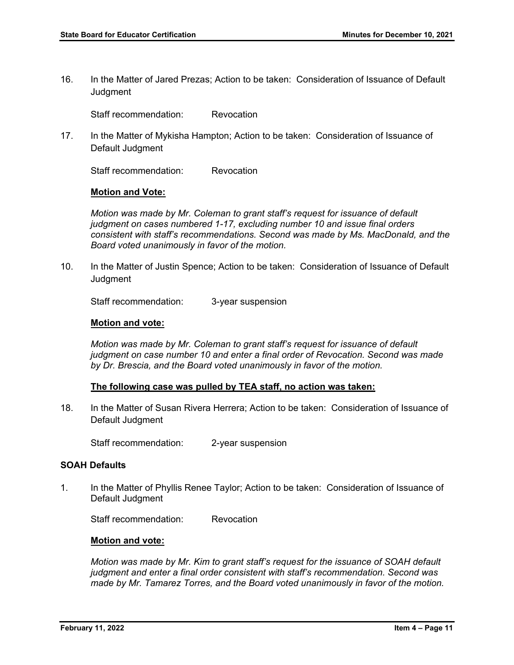16. In the Matter of Jared Prezas; Action to be taken: Consideration of Issuance of Default **Judgment** 

Staff recommendation: Revocation

17. In the Matter of Mykisha Hampton; Action to be taken: Consideration of Issuance of Default Judgment

Staff recommendation: Revocation

#### **Motion and Vote:**

*Motion was made by Mr. Coleman to grant staff's request for issuance of default judgment on cases numbered 1-17, excluding number 10 and issue final orders consistent with staff's recommendations. Second was made by Ms. MacDonald, and the Board voted unanimously in favor of the motion.* 

10. In the Matter of Justin Spence; Action to be taken: Consideration of Issuance of Default **Judament** 

Staff recommendation: 3-year suspension

#### **Motion and vote:**

*Motion was made by Mr. Coleman to grant staff's request for issuance of default judgment on case number 10 and enter a final order of Revocation. Second was made by Dr. Brescia, and the Board voted unanimously in favor of the motion.* 

#### **The following case was pulled by TEA staff, no action was taken:**

18. In the Matter of Susan Rivera Herrera; Action to be taken: Consideration of Issuance of Default Judgment

Staff recommendation: 2-year suspension

#### **SOAH Defaults**

1. In the Matter of Phyllis Renee Taylor; Action to be taken: Consideration of Issuance of Default Judgment

Staff recommendation: Revocation

#### **Motion and vote:**

*Motion was made by Mr. Kim to grant staff's request for the issuance of SOAH default judgment and enter a final order consistent with staff's recommendation. Second was made by Mr. Tamarez Torres, and the Board voted unanimously in favor of the motion.*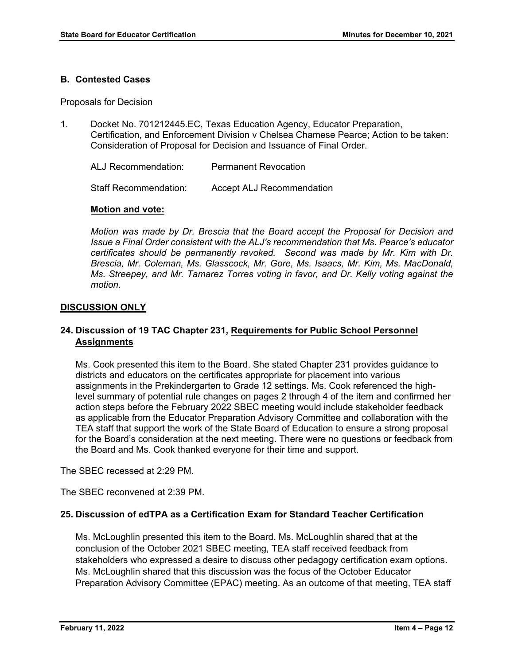#### **B. Contested Cases**

Proposals for Decision

1. Docket No. 701212445.EC, Texas Education Agency, Educator Preparation, Certification, and Enforcement Division v Chelsea Chamese Pearce; Action to be taken: Consideration of Proposal for Decision and Issuance of Final Order.

ALJ Recommendation: Permanent Revocation

Staff Recommendation: Accept ALJ Recommendation

#### **Motion and vote:**

*Motion was made by Dr. Brescia that the Board accept the Proposal for Decision and Issue a Final Order consistent with the ALJ's recommendation that Ms. Pearce's educator certificates should be permanently revoked. Second was made by Mr. Kim with Dr. Brescia, Mr. Coleman, Ms. Glasscock, Mr. Gore, Ms. Isaacs, Mr. Kim, Ms. MacDonald, Ms. Streepey, and Mr. Tamarez Torres voting in favor, and Dr. Kelly voting against the motion.* 

#### **DISCUSSION ONLY**

# **24. Discussion of 19 TAC Chapter 231, Requirements for Public School Personnel Assignments**

Ms. Cook presented this item to the Board. She stated Chapter 231 provides guidance to districts and educators on the certificates appropriate for placement into various assignments in the Prekindergarten to Grade 12 settings. Ms. Cook referenced the highlevel summary of potential rule changes on pages 2 through 4 of the item and confirmed her action steps before the February 2022 SBEC meeting would include stakeholder feedback as applicable from the Educator Preparation Advisory Committee and collaboration with the TEA staff that support the work of the State Board of Education to ensure a strong proposal for the Board's consideration at the next meeting. There were no questions or feedback from the Board and Ms. Cook thanked everyone for their time and support.

The SBEC recessed at 2:29 PM.

The SBEC reconvened at 2:39 PM.

#### **25. Discussion of edTPA as a Certification Exam for Standard Teacher Certification**

Ms. McLoughlin presented this item to the Board. Ms. McLoughlin shared that at the conclusion of the October 2021 SBEC meeting, TEA staff received feedback from stakeholders who expressed a desire to discuss other pedagogy certification exam options. Ms. McLoughlin shared that this discussion was the focus of the October Educator Preparation Advisory Committee (EPAC) meeting. As an outcome of that meeting, TEA staff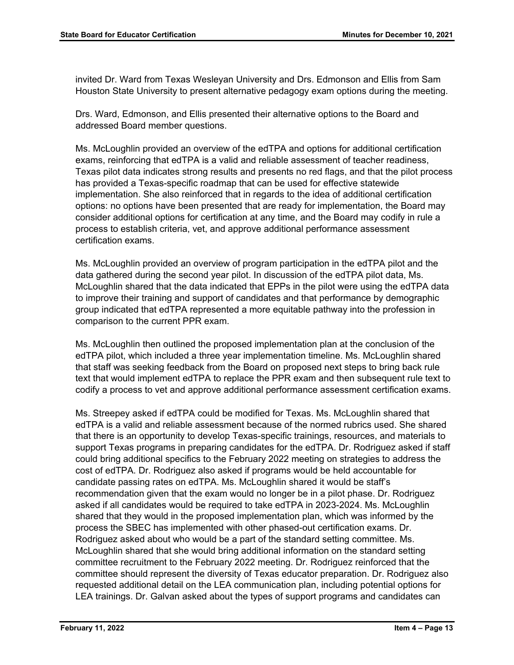invited Dr. Ward from Texas Wesleyan University and Drs. Edmonson and Ellis from Sam Houston State University to present alternative pedagogy exam options during the meeting.

Drs. Ward, Edmonson, and Ellis presented their alternative options to the Board and addressed Board member questions.

Ms. McLoughlin provided an overview of the edTPA and options for additional certification exams, reinforcing that edTPA is a valid and reliable assessment of teacher readiness, Texas pilot data indicates strong results and presents no red flags, and that the pilot process has provided a Texas-specific roadmap that can be used for effective statewide implementation. She also reinforced that in regards to the idea of additional certification options: no options have been presented that are ready for implementation, the Board may consider additional options for certification at any time, and the Board may codify in rule a process to establish criteria, vet, and approve additional performance assessment certification exams.

Ms. McLoughlin provided an overview of program participation in the edTPA pilot and the data gathered during the second year pilot. In discussion of the edTPA pilot data, Ms. McLoughlin shared that the data indicated that EPPs in the pilot were using the edTPA data to improve their training and support of candidates and that performance by demographic group indicated that edTPA represented a more equitable pathway into the profession in comparison to the current PPR exam.

Ms. McLoughlin then outlined the proposed implementation plan at the conclusion of the edTPA pilot, which included a three year implementation timeline. Ms. McLoughlin shared that staff was seeking feedback from the Board on proposed next steps to bring back rule text that would implement edTPA to replace the PPR exam and then subsequent rule text to codify a process to vet and approve additional performance assessment certification exams.

Ms. Streepey asked if edTPA could be modified for Texas. Ms. McLoughlin shared that edTPA is a valid and reliable assessment because of the normed rubrics used. She shared that there is an opportunity to develop Texas-specific trainings, resources, and materials to support Texas programs in preparing candidates for the edTPA. Dr. Rodriguez asked if staff could bring additional specifics to the February 2022 meeting on strategies to address the cost of edTPA. Dr. Rodriguez also asked if programs would be held accountable for candidate passing rates on edTPA. Ms. McLoughlin shared it would be staff's recommendation given that the exam would no longer be in a pilot phase. Dr. Rodriguez asked if all candidates would be required to take edTPA in 2023-2024. Ms. McLoughlin shared that they would in the proposed implementation plan, which was informed by the process the SBEC has implemented with other phased-out certification exams. Dr. Rodriguez asked about who would be a part of the standard setting committee. Ms. McLoughlin shared that she would bring additional information on the standard setting committee recruitment to the February 2022 meeting. Dr. Rodriguez reinforced that the committee should represent the diversity of Texas educator preparation. Dr. Rodriguez also requested additional detail on the LEA communication plan, including potential options for LEA trainings. Dr. Galvan asked about the types of support programs and candidates can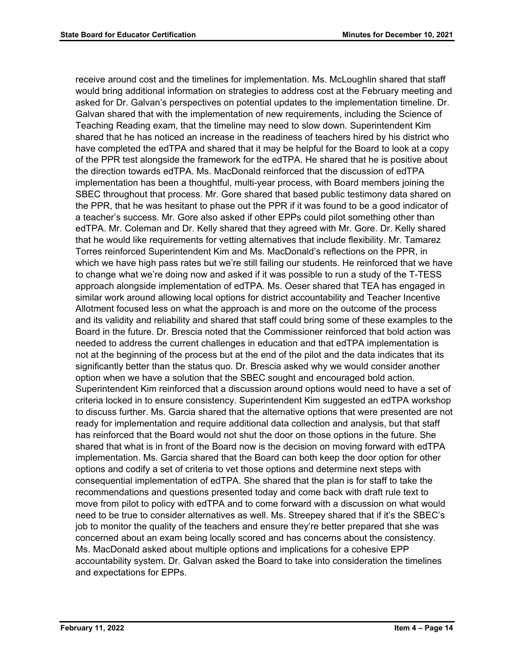receive around cost and the timelines for implementation. Ms. McLoughlin shared that staff would bring additional information on strategies to address cost at the February meeting and asked for Dr. Galvan's perspectives on potential updates to the implementation timeline. Dr. Galvan shared that with the implementation of new requirements, including the Science of Teaching Reading exam, that the timeline may need to slow down. Superintendent Kim shared that he has noticed an increase in the readiness of teachers hired by his district who have completed the edTPA and shared that it may be helpful for the Board to look at a copy of the PPR test alongside the framework for the edTPA. He shared that he is positive about the direction towards edTPA. Ms. MacDonald reinforced that the discussion of edTPA implementation has been a thoughtful, multi-year process, with Board members joining the SBEC throughout that process. Mr. Gore shared that based public testimony data shared on the PPR, that he was hesitant to phase out the PPR if it was found to be a good indicator of a teacher's success. Mr. Gore also asked if other EPPs could pilot something other than edTPA. Mr. Coleman and Dr. Kelly shared that they agreed with Mr. Gore. Dr. Kelly shared that he would like requirements for vetting alternatives that include flexibility. Mr. Tamarez Torres reinforced Superintendent Kim and Ms. MacDonald's reflections on the PPR, in which we have high pass rates but we're still failing our students. He reinforced that we have to change what we're doing now and asked if it was possible to run a study of the T-TESS approach alongside implementation of edTPA. Ms. Oeser shared that TEA has engaged in similar work around allowing local options for district accountability and Teacher Incentive Allotment focused less on what the approach is and more on the outcome of the process and its validity and reliability and shared that staff could bring some of these examples to the Board in the future. Dr. Brescia noted that the Commissioner reinforced that bold action was needed to address the current challenges in education and that edTPA implementation is not at the beginning of the process but at the end of the pilot and the data indicates that its significantly better than the status quo. Dr. Brescia asked why we would consider another option when we have a solution that the SBEC sought and encouraged bold action. Superintendent Kim reinforced that a discussion around options would need to have a set of criteria locked in to ensure consistency. Superintendent Kim suggested an edTPA workshop to discuss further. Ms. Garcia shared that the alternative options that were presented are not ready for implementation and require additional data collection and analysis, but that staff has reinforced that the Board would not shut the door on those options in the future. She shared that what is in front of the Board now is the decision on moving forward with edTPA implementation. Ms. Garcia shared that the Board can both keep the door option for other options and codify a set of criteria to vet those options and determine next steps with consequential implementation of edTPA. She shared that the plan is for staff to take the recommendations and questions presented today and come back with draft rule text to move from pilot to policy with edTPA and to come forward with a discussion on what would need to be true to consider alternatives as well. Ms. Streepey shared that if it's the SBEC's job to monitor the quality of the teachers and ensure they're better prepared that she was concerned about an exam being locally scored and has concerns about the consistency. Ms. MacDonald asked about multiple options and implications for a cohesive EPP accountability system. Dr. Galvan asked the Board to take into consideration the timelines and expectations for EPPs.